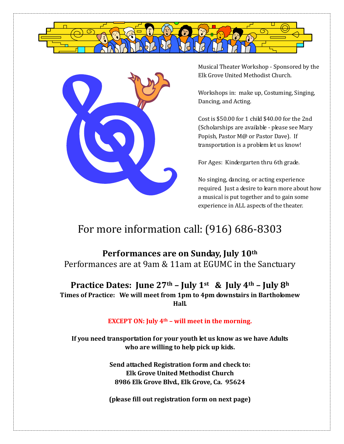



Musical Theater Workshop - Sponsored by the Elk Grove United Methodist Church.

Workshops in: make up, Costuming, Singing, Dancing, and Acting.

Cost is \$50.00 for 1 child \$40.00 for the 2nd (Scholarships are available - please see Mary Popish, Pastor M@ or Pastor Dave). If transportation is a problem let us know!

For Ages: Kindergarten thru 6th grade.

No singing, dancing, or acting experience required. Just a desire to learn more about how a musical is put together and to gain some experience in ALL aspects of the theater.

## For more information call: (916) 686-8303

**Performances are on Sunday, July 10th**  Performances are at 9am & 11am at EGUMC in the Sanctuary

**Practice Dates: June 27th – July 1st & July 4th – July 8<sup>h</sup> Times of Practice: We will meet from 1pm to 4pm downstairs in Bartholomew Hall.** 

## **EXCEPT ON: July 4th – will meet in the morning.**

**If you need transportation for your youth let us know as we have Adults who are willing to help pick up kids.**

> **Send attached Registration form and check to: Elk Grove United Methodist Church 8986 Elk Grove Blvd., Elk Grove, Ca. 95624**

> **(please fill out registration form on next page)**